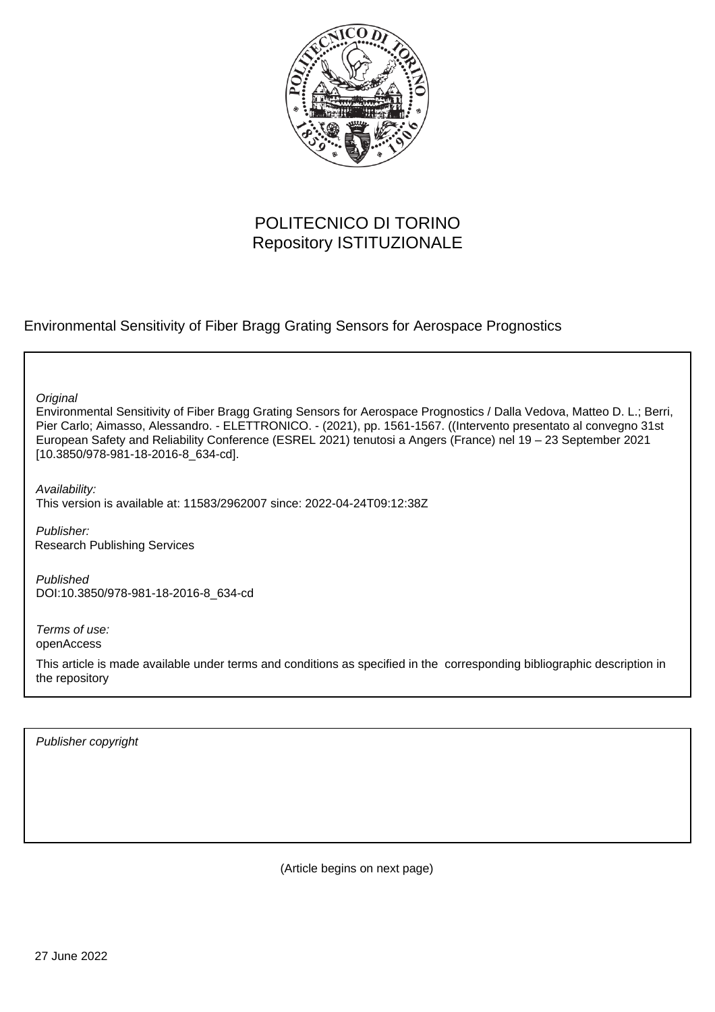

# POLITECNICO DI TORINO Repository ISTITUZIONALE

Environmental Sensitivity of Fiber Bragg Grating Sensors for Aerospace Prognostics

**Original** 

Environmental Sensitivity of Fiber Bragg Grating Sensors for Aerospace Prognostics / Dalla Vedova, Matteo D. L.; Berri, Pier Carlo; Aimasso, Alessandro. - ELETTRONICO. - (2021), pp. 1561-1567. ((Intervento presentato al convegno 31st European Safety and Reliability Conference (ESREL 2021) tenutosi a Angers (France) nel 19 – 23 September 2021 [10.3850/978-981-18-2016-8\_634-cd].

Availability: This version is available at: 11583/2962007 since: 2022-04-24T09:12:38Z

Publisher: Research Publishing Services

Published DOI:10.3850/978-981-18-2016-8\_634-cd

Terms of use: openAccess

This article is made available under terms and conditions as specified in the corresponding bibliographic description in the repository

Publisher copyright

(Article begins on next page)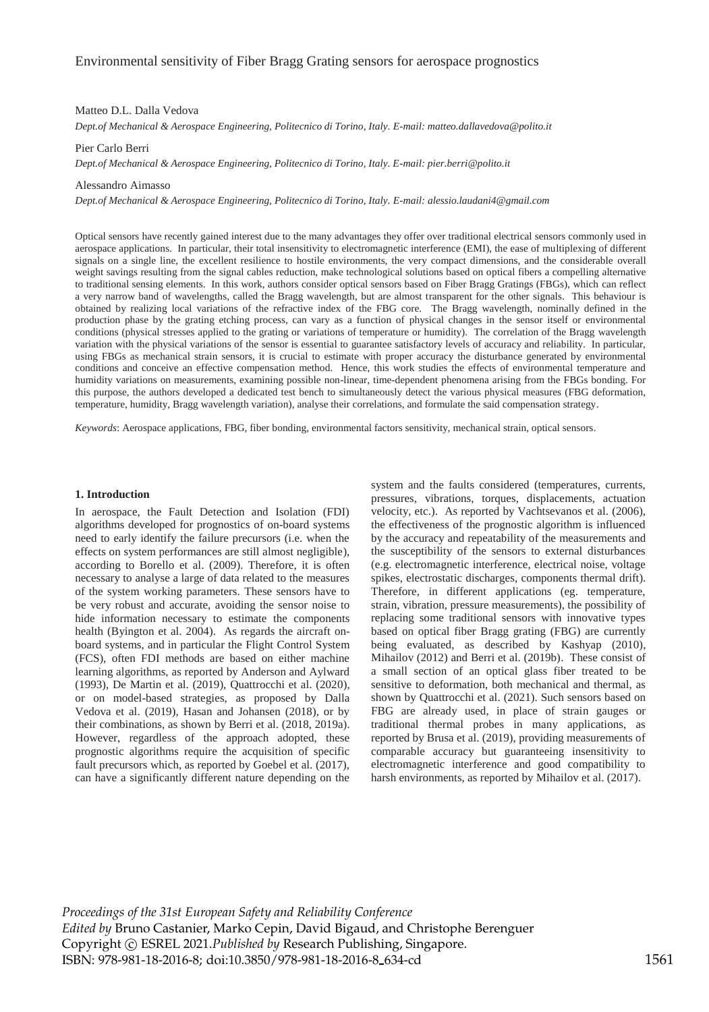## Matteo D.L. Dalla Vedova

*Dept.of Mechanical & Aerospace Engineering, Politecnico di Torino, Italy. E-mail: matteo.dallavedova@polito.it* 

## Pier Carlo Berri

*Dept.of Mechanical & Aerospace Engineering, Politecnico di Torino, Italy. E-mail: pier.berri@polito.it* 

## Alessandro Aimasso

*Dept.of Mechanical & Aerospace Engineering, Politecnico di Torino, Italy. E-mail: alessio.laudani4@gmail.com* 

Optical sensors have recently gained interest due to the many advantages they offer over traditional electrical sensors commonly used in aerospace applications. In particular, their total insensitivity to electromagnetic interference (EMI), the ease of multiplexing of different signals on a single line, the excellent resilience to hostile environments, the very compact dimensions, and the considerable overall weight savings resulting from the signal cables reduction, make technological solutions based on optical fibers a compelling alternative to traditional sensing elements. In this work, authors consider optical sensors based on Fiber Bragg Gratings (FBGs), which can reflect a very narrow band of wavelengths, called the Bragg wavelength, but are almost transparent for the other signals. This behaviour is obtained by realizing local variations of the refractive index of the FBG core. The Bragg wavelength, nominally defined in the production phase by the grating etching process, can vary as a function of physical changes in the sensor itself or environmental conditions (physical stresses applied to the grating or variations of temperature or humidity). The correlation of the Bragg wavelength variation with the physical variations of the sensor is essential to guarantee satisfactory levels of accuracy and reliability. In particular, using FBGs as mechanical strain sensors, it is crucial to estimate with proper accuracy the disturbance generated by environmental conditions and conceive an effective compensation method. Hence, this work studies the effects of environmental temperature and humidity variations on measurements, examining possible non-linear, time-dependent phenomena arising from the FBGs bonding. For this purpose, the authors developed a dedicated test bench to simultaneously detect the various physical measures (FBG deformation, temperature, humidity, Bragg wavelength variation), analyse their correlations, and formulate the said compensation strategy.

*Keywords*: Aerospace applications, FBG, fiber bonding, environmental factors sensitivity, mechanical strain, optical sensors.

### **1. Introduction**

In aerospace, the Fault Detection and Isolation (FDI) algorithms developed for prognostics of on-board systems need to early identify the failure precursors (i.e. when the effects on system performances are still almost negligible), according to Borello et al. (2009). Therefore, it is often necessary to analyse a large of data related to the measures of the system working parameters. These sensors have to be very robust and accurate, avoiding the sensor noise to hide information necessary to estimate the components health (Byington et al. 2004). As regards the aircraft onboard systems, and in particular the Flight Control System (FCS), often FDI methods are based on either machine learning algorithms, as reported by Anderson and Aylward (1993), De Martin et al. (2019), Quattrocchi et al. (2020), or on model-based strategies, as proposed by Dalla Vedova et al. (2019), Hasan and Johansen (2018), or by their combinations, as shown by Berri et al. (2018, 2019a). However, regardless of the approach adopted, these prognostic algorithms require the acquisition of specific fault precursors which, as reported by Goebel et al. (2017), can have a significantly different nature depending on the

system and the faults considered (temperatures, currents, pressures, vibrations, torques, displacements, actuation velocity, etc.). As reported by Vachtsevanos et al. (2006), the effectiveness of the prognostic algorithm is influenced by the accuracy and repeatability of the measurements and the susceptibility of the sensors to external disturbances (e.g. electromagnetic interference, electrical noise, voltage spikes, electrostatic discharges, components thermal drift). Therefore, in different applications (eg. temperature, strain, vibration, pressure measurements), the possibility of replacing some traditional sensors with innovative types based on optical fiber Bragg grating (FBG) are currently being evaluated, as described by Kashyap (2010), Mihailov (2012) and Berri et al. (2019b). These consist of a small section of an optical glass fiber treated to be sensitive to deformation, both mechanical and thermal, as shown by Quattrocchi et al. (2021). Such sensors based on FBG are already used, in place of strain gauges or traditional thermal probes in many applications, as reported by Brusa et al. (2019), providing measurements of comparable accuracy but guaranteeing insensitivity to electromagnetic interference and good compatibility to harsh environments, as reported by Mihailov et al. (2017).

*Proceedings of the 31st European Safety and Reliability Conference Edited by* Bruno Castanier, Marko Cepin, David Bigaud, and Christophe Berenguer Copyright © ESREL 2021.*Published by* Research Publishing, Singapore. ISBN: 978-981-18-2016-8; doi:10.3850/978-981-18-2016-8 634-cd 1561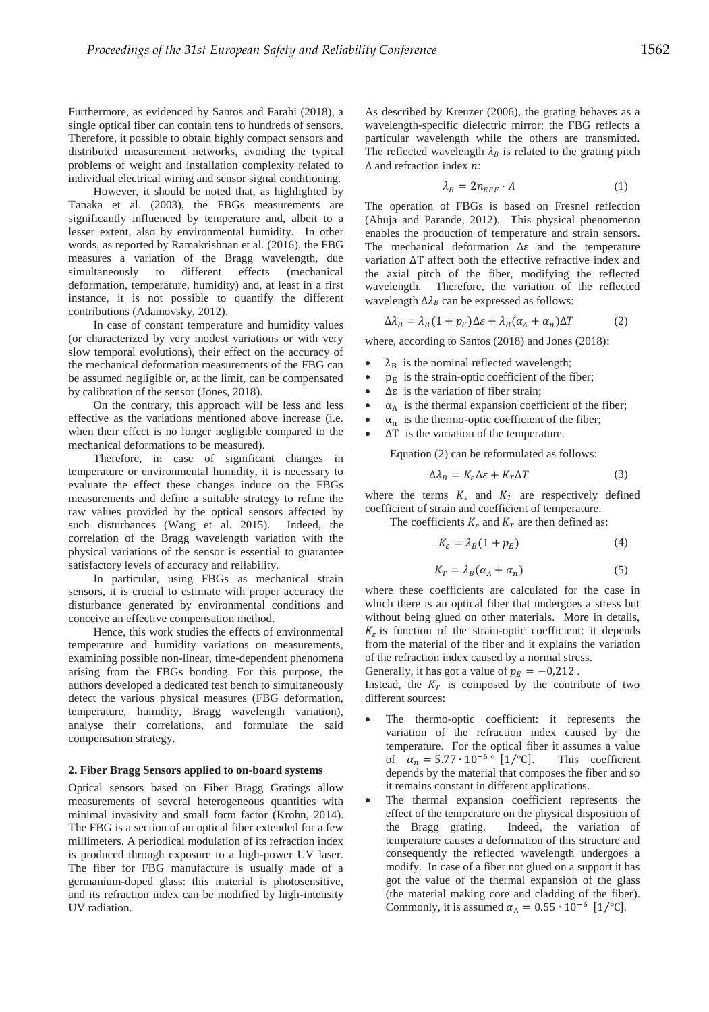Furthermore, as evidenced by Santos and Farahi (2018), a single optical fiber can contain tens to hundreds of sensors. Therefore, it possible to obtain highly compact sensors and distributed measurement networks, avoiding the typical problems of weight and installation complexity related to individual electrical wiring and sensor signal conditioning.

However, it should be noted that, as highlighted by Tanaka et al. (2003), the FBGs measurements are significantly influenced by temperature and, albeit to a lesser extent, also by environmental humidity. In other words, as reported by Ramakrishnan et al. (2016), the FBG measures a variation of the Bragg wavelength, due simultaneously to different effects (mechanical deformation, temperature, humidity) and, at least in a first instance, it is not possible to quantify the different contributions (Adamovsky, 2012).

In case of constant temperature and humidity values (or characterized by very modest variations or with very slow temporal evolutions), their effect on the accuracy of the mechanical deformation measurements of the FBG can be assumed negligible or, at the limit, can be compensated by calibration of the sensor (Jones, 2018).

On the contrary, this approach will be less and less effective as the variations mentioned above increase (i.e. when their effect is no longer negligible compared to the mechanical deformations to be measured).

Therefore, in case of significant changes in temperature or environmental humidity, it is necessary to evaluate the effect these changes induce on the FBGs measurements and define a suitable strategy to refine the raw values provided by the optical sensors affected by such disturbances (Wang et al. 2015). Indeed, the correlation of the Bragg wavelength variation with the physical variations of the sensor is essential to guarantee satisfactory levels of accuracy and reliability.

In particular, using FBGs as mechanical strain sensors, it is crucial to estimate with proper accuracy the disturbance generated by environmental conditions and conceive an effective compensation method.

Hence, this work studies the effects of environmental temperature and humidity variations on measurements, examining possible non-linear, time-dependent phenomena arising from the FBGs bonding. For this purpose, the authors developed a dedicated test bench to simultaneously detect the various physical measures (FBG deformation, temperature, humidity, Bragg wavelength variation), analyse their correlations, and formulate the said compensation strategy.

## **2. Fiber Bragg Sensors applied to on-board systems**

Optical sensors based on Fiber Bragg Gratings allow measurements of several heterogeneous quantities with minimal invasivity and small form factor (Krohn, 2014). The FBG is a section of an optical fiber extended for a few millimeters. A periodical modulation of its refraction index is produced through exposure to a high-power UV laser. The fiber for FBG manufacture is usually made of a germanium-doped glass: this material is photosensitive, and its refraction index can be modified by high-intensity UV radiation.

As described by Kreuzer (2006), the grating behaves as a wavelength-specific dielectric mirror: the FBG reflects a particular wavelength while the others are transmitted. The reflected wavelength  $\lambda_B$  is related to the grating pitch  $\Lambda$  and refraction index  $n$ :

$$
\lambda_B = 2n_{EFF} \cdot \Lambda \tag{1}
$$

The operation of FBGs is based on Fresnel reflection (Ahuja and Parande, 2012). This physical phenomenon enables the production of temperature and strain sensors. The mechanical deformation  $\Delta \varepsilon$  and the temperature variation  $\Delta T$  affect both the effective refractive index and the axial pitch of the fiber, modifying the reflected wavelength. Therefore, the variation of the reflected wavelength  $\Delta \lambda_B$  can be expressed as follows:

$$
\Delta \lambda_B = \lambda_B (1 + p_E) \Delta \varepsilon + \lambda_B (\alpha_A + \alpha_n) \Delta T \tag{2}
$$

where, according to Santos (2018) and Jones (2018):

- $\lambda_B$  is the nominal reflected wavelength;
- $p<sub>E</sub>$  is the strain-optic coefficient of the fiber;
- $\Delta \varepsilon$  is the variation of fiber strain;
- $\alpha_A$  is the thermal expansion coefficient of the fiber;<br>•  $\alpha$  is the thermo-ontic coefficient of the fiber;
- $\alpha_n$  is the thermo-optic coefficient of the fiber;
- $\Delta T$  is the variation of the temperature.

Equation (2) can be reformulated as follows:

$$
\Delta \lambda_B = K_{\varepsilon} \Delta \varepsilon + K_T \Delta T \tag{3}
$$

where the terms  $K_{\varepsilon}$  and  $K_{T}$  are respectively defined coefficient of strain and coefficient of temperature.

The coefficients  $K_{\varepsilon}$  and  $K_T$  are then defined as:

$$
K_{\varepsilon} = \lambda_B (1 + p_E) \tag{4}
$$

$$
K_T = \lambda_B (\alpha_A + \alpha_n) \tag{5}
$$

where these coefficients are calculated for the case in which there is an optical fiber that undergoes a stress but without being glued on other materials. More in details,  $K<sub>e</sub>$  is function of the strain-optic coefficient: it depends from the material of the fiber and it explains the variation of the refraction index caused by a normal stress.

Generally, it has got a value of  $p_E = -0.212$ .

Instead, the  $K_T$  is composed by the contribute of two different sources:

- The thermo-optic coefficient: it represents the variation of the refraction index caused by the temperature. For the optical fiber it assumes a value of  $\alpha_n = 5.77 \cdot 10^{-6}$  [1/°C]. This coefficient depends by the material that composes the fiber and so it remains constant in different applications.
- The thermal expansion coefficient represents the effect of the temperature on the physical disposition of the Bragg grating. Indeed, the variation of temperature causes a deformation of this structure and consequently the reflected wavelength undergoes a modify. In case of a fiber not glued on a support it has got the value of the thermal expansion of the glass (the material making core and cladding of the fiber). Commonly, it is assumed  $\alpha_{\Lambda} = 0.55 \cdot 10^{-6}$  [1/°C].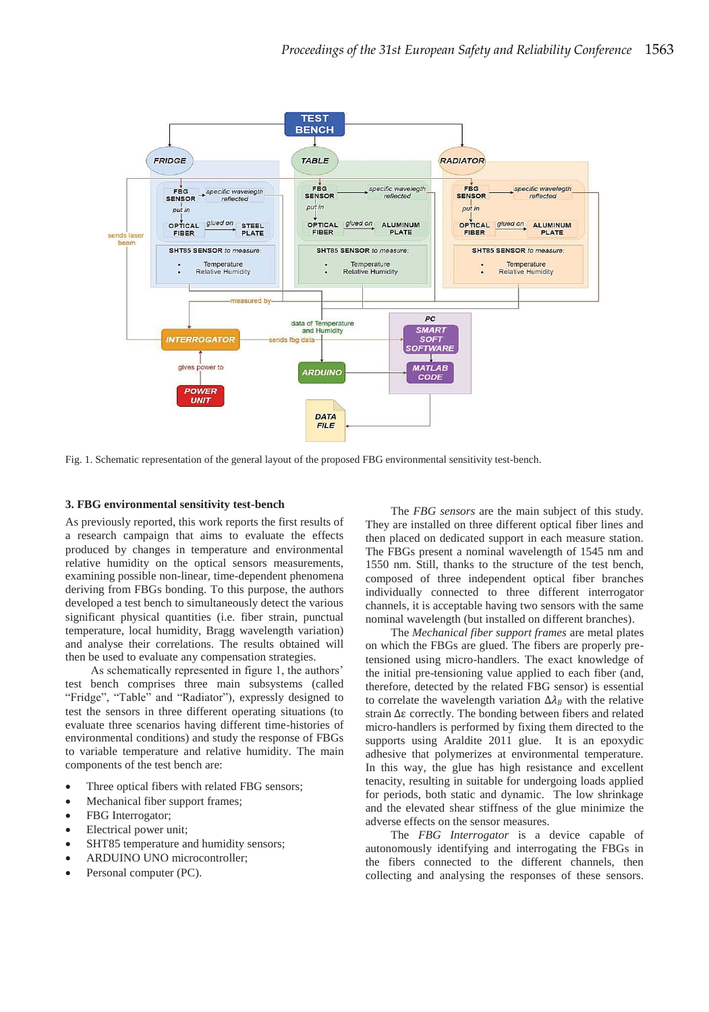

Fig. 1. Schematic representation of the general layout of the proposed FBG environmental sensitivity test-bench.

# **3. FBG environmental sensitivity test-bench**

As previously reported, this work reports the first results of a research campaign that aims to evaluate the effects produced by changes in temperature and environmental relative humidity on the optical sensors measurements, examining possible non-linear, time-dependent phenomena deriving from FBGs bonding. To this purpose, the authors developed a test bench to simultaneously detect the various significant physical quantities (i.e. fiber strain, punctual temperature, local humidity, Bragg wavelength variation) and analyse their correlations. The results obtained will then be used to evaluate any compensation strategies.

As schematically represented in figure 1, the authors' test bench comprises three main subsystems (called "Fridge", "Table" and "Radiator"), expressly designed to test the sensors in three different operating situations (to evaluate three scenarios having different time-histories of environmental conditions) and study the response of FBGs to variable temperature and relative humidity. The main components of the test bench are:

- Three optical fibers with related FBG sensors;
- Mechanical fiber support frames;
- FBG Interrogator;
- Electrical power unit;
- SHT85 temperature and humidity sensors;
- ARDUINO UNO microcontroller;
- Personal computer (PC).

The *FBG sensors* are the main subject of this study. They are installed on three different optical fiber lines and then placed on dedicated support in each measure station. The FBGs present a nominal wavelength of 1545 nm and 1550 nm. Still, thanks to the structure of the test bench, composed of three independent optical fiber branches individually connected to three different interrogator channels, it is acceptable having two sensors with the same nominal wavelength (but installed on different branches).

The *Mechanical fiber support frames* are metal plates on which the FBGs are glued. The fibers are properly pretensioned using micro-handlers. The exact knowledge of the initial pre-tensioning value applied to each fiber (and, therefore, detected by the related FBG sensor) is essential to correlate the wavelength variation  $\Delta \lambda_B$  with the relative strain  $\Delta \varepsilon$  correctly. The bonding between fibers and related micro-handlers is performed by fixing them directed to the supports using Araldite 2011 glue. It is an epoxydic adhesive that polymerizes at environmental temperature. In this way, the glue has high resistance and excellent tenacity, resulting in suitable for undergoing loads applied for periods, both static and dynamic. The low shrinkage and the elevated shear stiffness of the glue minimize the adverse effects on the sensor measures.

The *FBG Interrogator* is a device capable of autonomously identifying and interrogating the FBGs in the fibers connected to the different channels, then collecting and analysing the responses of these sensors.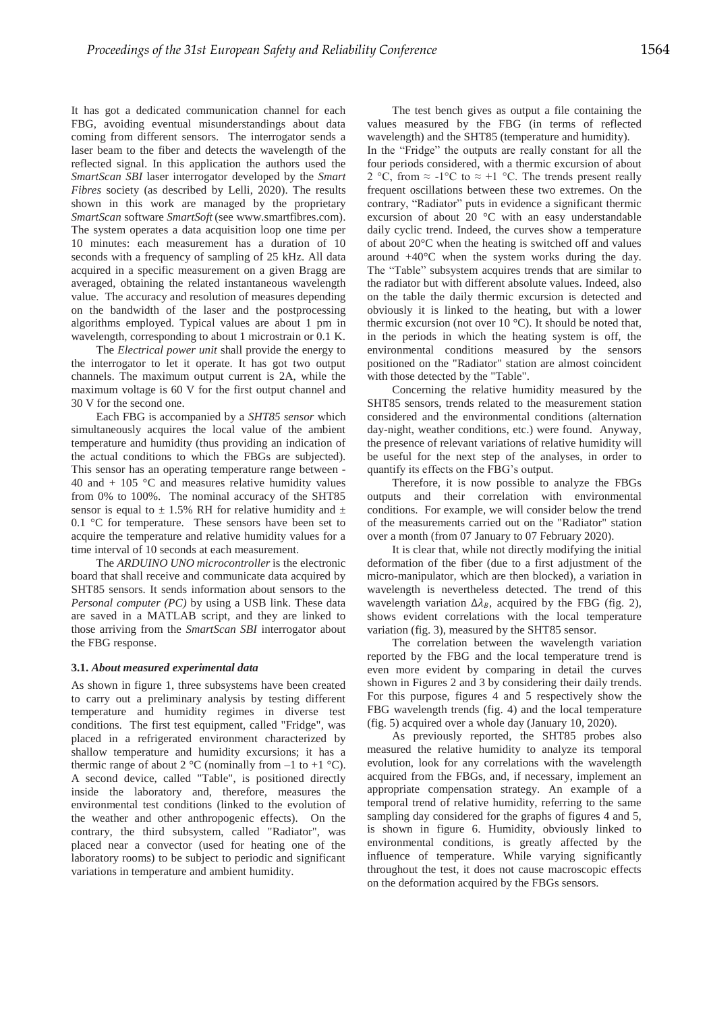It has got a dedicated communication channel for each FBG, avoiding eventual misunderstandings about data coming from different sensors. The interrogator sends a laser beam to the fiber and detects the wavelength of the reflected signal. In this application the authors used the *SmartScan SBI* laser interrogator developed by the *Smart Fibres* society (as described by Lelli, 2020). The results shown in this work are managed by the proprietary *SmartScan* software *SmartSoft* (see www.smartfibres.com). The system operates a data acquisition loop one time per 10 minutes: each measurement has a duration of 10 seconds with a frequency of sampling of 25 kHz. All data acquired in a specific measurement on a given Bragg are averaged, obtaining the related instantaneous wavelength value. The accuracy and resolution of measures depending on the bandwidth of the laser and the postprocessing algorithms employed. Typical values are about 1 pm in wavelength, corresponding to about 1 microstrain or 0.1 K.

The *Electrical power unit* shall provide the energy to the interrogator to let it operate. It has got two output channels. The maximum output current is 2A, while the maximum voltage is 60 V for the first output channel and 30 V for the second one.

Each FBG is accompanied by a *SHT85 sensor* which simultaneously acquires the local value of the ambient temperature and humidity (thus providing an indication of the actual conditions to which the FBGs are subjected). This sensor has an operating temperature range between - 40 and  $+$  105 °C and measures relative humidity values from 0% to 100%. The nominal accuracy of the SHT85 sensor is equal to  $\pm$  1.5% RH for relative humidity and  $\pm$ 0.1 °C for temperature. These sensors have been set to acquire the temperature and relative humidity values for a time interval of 10 seconds at each measurement.

The *ARDUINO UNO microcontroller* is the electronic board that shall receive and communicate data acquired by SHT85 sensors. It sends information about sensors to the *Personal computer (PC)* by using a USB link. These data are saved in a MATLAB script, and they are linked to those arriving from the *SmartScan SBI* interrogator about the FBG response.

## **3.1.** *About measured experimental data*

As shown in figure 1, three subsystems have been created to carry out a preliminary analysis by testing different temperature and humidity regimes in diverse test conditions. The first test equipment, called "Fridge", was placed in a refrigerated environment characterized by shallow temperature and humidity excursions; it has a thermic range of about 2  $^{\circ}$ C (nominally from  $-1$  to  $+1$   $^{\circ}$ C). A second device, called "Table", is positioned directly inside the laboratory and, therefore, measures the environmental test conditions (linked to the evolution of the weather and other anthropogenic effects). On the contrary, the third subsystem, called "Radiator", was placed near a convector (used for heating one of the laboratory rooms) to be subject to periodic and significant variations in temperature and ambient humidity.

The test bench gives as output a file containing the values measured by the FBG (in terms of reflected wavelength) and the SHT85 (temperature and humidity).

In the "Fridge" the outputs are really constant for all the four periods considered, with a thermic excursion of about 2 °C, from  $\approx$  -1 °C to  $\approx$  +1 °C. The trends present really frequent oscillations between these two extremes. On the contrary, "Radiator" puts in evidence a significant thermic excursion of about 20 °C with an easy understandable daily cyclic trend. Indeed, the curves show a temperature of about 20°C when the heating is switched off and values around +40°C when the system works during the day. The "Table" subsystem acquires trends that are similar to the radiator but with different absolute values. Indeed, also on the table the daily thermic excursion is detected and obviously it is linked to the heating, but with a lower thermic excursion (not over 10 °C). It should be noted that, in the periods in which the heating system is off, the environmental conditions measured by the sensors positioned on the "Radiator" station are almost coincident with those detected by the "Table".

Concerning the relative humidity measured by the SHT85 sensors, trends related to the measurement station considered and the environmental conditions (alternation day-night, weather conditions, etc.) were found. Anyway, the presence of relevant variations of relative humidity will be useful for the next step of the analyses, in order to quantify its effects on the FBG's output.

Therefore, it is now possible to analyze the FBGs outputs and their correlation with environmental conditions. For example, we will consider below the trend of the measurements carried out on the "Radiator" station over a month (from 07 January to 07 February 2020).

It is clear that, while not directly modifying the initial deformation of the fiber (due to a first adjustment of the micro-manipulator, which are then blocked), a variation in wavelength is nevertheless detected. The trend of this wavelength variation  $\Delta \lambda_B$ , acquired by the FBG (fig. 2), shows evident correlations with the local temperature variation (fig. 3), measured by the SHT85 sensor.

The correlation between the wavelength variation reported by the FBG and the local temperature trend is even more evident by comparing in detail the curves shown in Figures 2 and 3 by considering their daily trends. For this purpose, figures 4 and 5 respectively show the FBG wavelength trends (fig. 4) and the local temperature (fig. 5) acquired over a whole day (January 10, 2020).

As previously reported, the SHT85 probes also measured the relative humidity to analyze its temporal evolution, look for any correlations with the wavelength acquired from the FBGs, and, if necessary, implement an appropriate compensation strategy. An example of a temporal trend of relative humidity, referring to the same sampling day considered for the graphs of figures 4 and 5, is shown in figure 6. Humidity, obviously linked to environmental conditions, is greatly affected by the influence of temperature. While varying significantly throughout the test, it does not cause macroscopic effects on the deformation acquired by the FBGs sensors.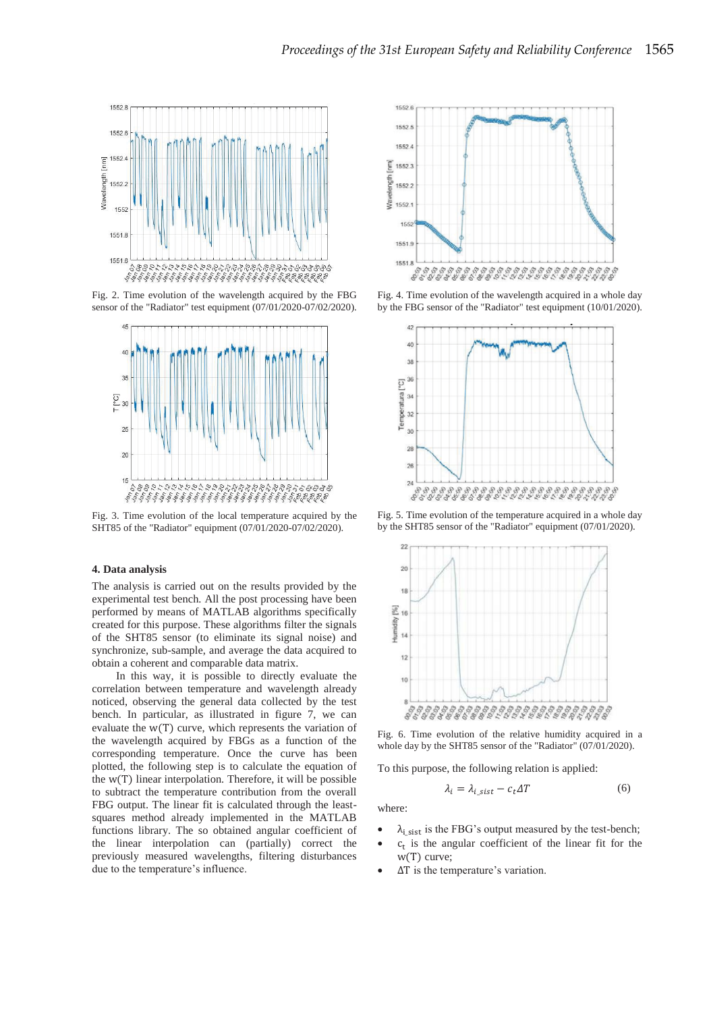

Fig. 2. Time evolution of the wavelength acquired by the FBG sensor of the "Radiator" test equipment (07/01/2020-07/02/2020).



Fig. 3. Time evolution of the local temperature acquired by the SHT85 of the "Radiator" equipment (07/01/2020-07/02/2020).

## **4. Data analysis**

The analysis is carried out on the results provided by the experimental test bench. All the post processing have been performed by means of MATLAB algorithms specifically created for this purpose. These algorithms filter the signals of the SHT85 sensor (to eliminate its signal noise) and synchronize, sub-sample, and average the data acquired to obtain a coherent and comparable data matrix.

In this way, it is possible to directly evaluate the correlation between temperature and wavelength already noticed, observing the general data collected by the test bench. In particular, as illustrated in figure 7, we can evaluate the  $w(T)$  curve, which represents the variation of the wavelength acquired by FBGs as a function of the corresponding temperature. Once the curve has been plotted, the following step is to calculate the equation of the  $W(T)$  linear interpolation. Therefore, it will be possible to subtract the temperature contribution from the overall FBG output. The linear fit is calculated through the leastsquares method already implemented in the MATLAB functions library. The so obtained angular coefficient of the linear interpolation can (partially) correct the previously measured wavelengths, filtering disturbances due to the temperature's influence.



Fig. 4. Time evolution of the wavelength acquired in a whole day by the FBG sensor of the "Radiator" test equipment (10/01/2020).



Fig. 5. Time evolution of the temperature acquired in a whole day by the SHT85 sensor of the "Radiator" equipment (07/01/2020).



Fig. 6. Time evolution of the relative humidity acquired in a whole day by the SHT85 sensor of the "Radiator" (07/01/2020).

To this purpose, the following relation is applied:

$$
\lambda_i = \lambda_{i\_sist} - c_t \Delta T \tag{6}
$$

where:

- $\lambda_{i\_sist}$  is the FBG's output measured by the test-bench;
- $c_t$  is the angular coefficient of the linear fit for the w(T) curve;
- $\Delta T$  is the temperature's variation.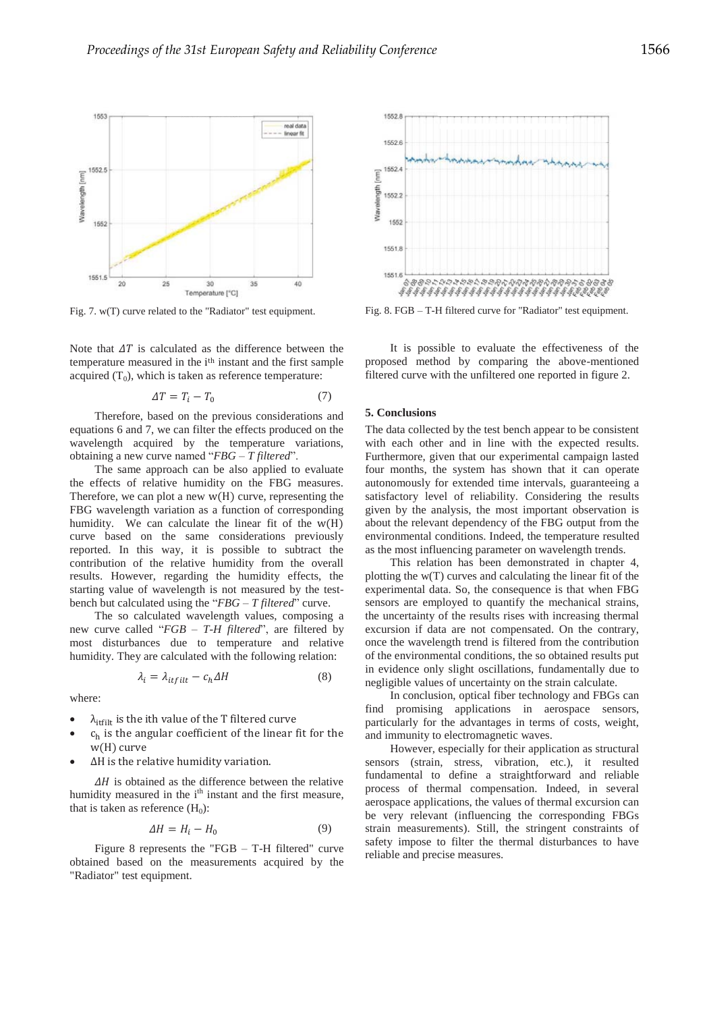

Fig. 7. w(T) curve related to the "Radiator" test equipment.

Note that  $\Delta T$  is calculated as the difference between the temperature measured in the i<sup>th</sup> instant and the first sample acquired  $(T_0)$ , which is taken as reference temperature:

$$
\Delta T = T_i - T_0 \tag{7}
$$

Therefore, based on the previous considerations and equations 6 and 7, we can filter the effects produced on the wavelength acquired by the temperature variations, obtaining a new curve named "*FBG – T filtered*".

The same approach can be also applied to evaluate the effects of relative humidity on the FBG measures. Therefore, we can plot a new  $w(H)$  curve, representing the FBG wavelength variation as a function of corresponding humidity. We can calculate the linear fit of the  $W(H)$ curve based on the same considerations previously reported. In this way, it is possible to subtract the contribution of the relative humidity from the overall results. However, regarding the humidity effects, the starting value of wavelength is not measured by the testbench but calculated using the "*FBG – T filtered*" curve.

The so calculated wavelength values, composing a new curve called "*FGB – T-H filtered*", are filtered by most disturbances due to temperature and relative humidity. They are calculated with the following relation:

$$
\lambda_i = \lambda_{itfilt} - c_h \Delta H \tag{8}
$$

where:

- $\lambda_{\text{itfill}}$  is the ith value of the T filtered curve
- $c_h$  is the angular coefficient of the linear fit for the w(H) curve
- ΔH is the relative humidity variation.

 $\Delta H$  is obtained as the difference between the relative humidity measured in the i<sup>th</sup> instant and the first measure, that is taken as reference  $(H_0)$ :

$$
\Delta H = H_i - H_0 \tag{9}
$$

Figure 8 represents the "FGB – T-H filtered" curve obtained based on the measurements acquired by the "Radiator" test equipment.



Fig. 8. FGB – T-H filtered curve for "Radiator" test equipment.

It is possible to evaluate the effectiveness of the proposed method by comparing the above-mentioned filtered curve with the unfiltered one reported in figure 2.

# **5. Conclusions**

The data collected by the test bench appear to be consistent with each other and in line with the expected results. Furthermore, given that our experimental campaign lasted four months, the system has shown that it can operate autonomously for extended time intervals, guaranteeing a satisfactory level of reliability. Considering the results given by the analysis, the most important observation is about the relevant dependency of the FBG output from the environmental conditions. Indeed, the temperature resulted as the most influencing parameter on wavelength trends.

This relation has been demonstrated in chapter 4, plotting the w(T) curves and calculating the linear fit of the experimental data. So, the consequence is that when FBG sensors are employed to quantify the mechanical strains, the uncertainty of the results rises with increasing thermal excursion if data are not compensated. On the contrary, once the wavelength trend is filtered from the contribution of the environmental conditions, the so obtained results put in evidence only slight oscillations, fundamentally due to negligible values of uncertainty on the strain calculate.

In conclusion, optical fiber technology and FBGs can find promising applications in aerospace sensors, particularly for the advantages in terms of costs, weight, and immunity to electromagnetic waves.

However, especially for their application as structural sensors (strain, stress, vibration, etc.), it resulted fundamental to define a straightforward and reliable process of thermal compensation. Indeed, in several aerospace applications, the values of thermal excursion can be very relevant (influencing the corresponding FBGs strain measurements). Still, the stringent constraints of safety impose to filter the thermal disturbances to have reliable and precise measures.